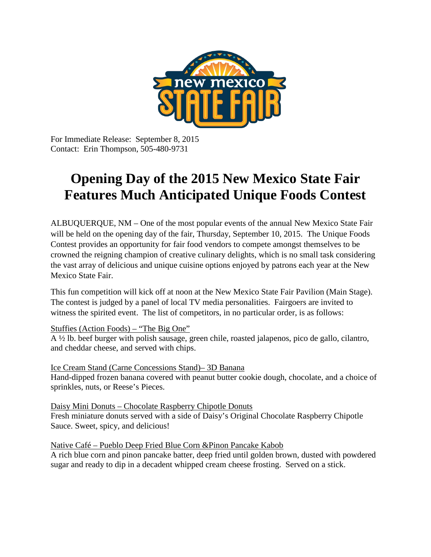

For Immediate Release: September 8, 2015 Contact: Erin Thompson, 505-480-9731

# **Opening Day of the 2015 New Mexico State Fair Features Much Anticipated Unique Foods Contest**

ALBUQUERQUE, NM – One of the most popular events of the annual New Mexico State Fair will be held on the opening day of the fair, Thursday, September 10, 2015. The Unique Foods Contest provides an opportunity for fair food vendors to compete amongst themselves to be crowned the reigning champion of creative culinary delights, which is no small task considering the vast array of delicious and unique cuisine options enjoyed by patrons each year at the New Mexico State Fair.

This fun competition will kick off at noon at the New Mexico State Fair Pavilion (Main Stage). The contest is judged by a panel of local TV media personalities. Fairgoers are invited to witness the spirited event. The list of competitors, in no particular order, is as follows:

Stuffies (Action Foods) – "The Big One"

A ½ lb. beef burger with polish sausage, green chile, roasted jalapenos, pico de gallo, cilantro, and cheddar cheese, and served with chips.

Ice Cream Stand (Carne Concessions Stand)– 3D Banana Hand-dipped frozen banana covered with peanut butter cookie dough, chocolate, and a choice of sprinkles, nuts, or Reese's Pieces.

Daisy Mini Donuts – Chocolate Raspberry Chipotle Donuts Fresh miniature donuts served with a side of Daisy's Original Chocolate Raspberry Chipotle Sauce. Sweet, spicy, and delicious!

Native Café – Pueblo Deep Fried Blue Corn &Pinon Pancake Kabob A rich blue corn and pinon pancake batter, deep fried until golden brown, dusted with powdered

sugar and ready to dip in a decadent whipped cream cheese frosting. Served on a stick.